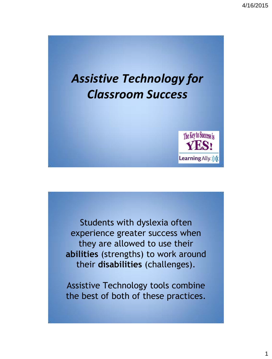

Students with dyslexia often experience greater success when they are allowed to use their **abilities** (strengths) to work around their **disabilities** (challenges).

Assistive Technology tools combine the best of both of these practices.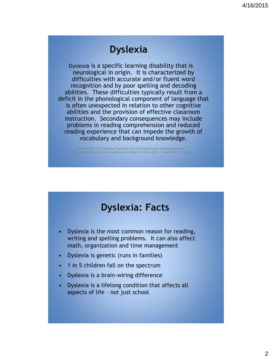### **Dyslexia**

Dyslexia is a specific learning disability that is neurological in origin. It is characterized by difficulties with accurate and/or fluent word recognition and by poor spelling and decoding abilities. These difficulties typically result from a deficit in the phonological component of language that is often unexpected in relation to other cognitive abilities and the provision of effective classroom instruction. Secondary consequences may include problems in reading comprehension and reduced reading experience that can impede the growth of vocabulary and background knowledge.

*Adopted by The National Institute of Child Health and Development and The International Dyslexia Association Board of Directors: November 12, 2002* 

# **Dyslexia: Facts**

- Dyslexia is the most common reason for reading, writing and spelling problems. It can also affect math, organization and time management
- Dyslexia is genetic (runs in families)
- 1 in 5 children fall on the spectrum
- Dyslexia is a brain-wiring difference
- Dyslexia is a lifelong condition that affects all aspects of life – not just school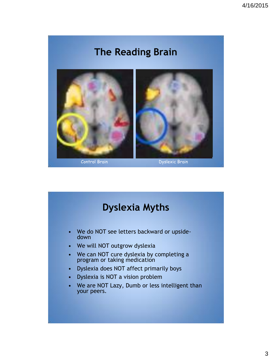# **The Reading Brain**



# **Dyslexia Myths**

- We do NOT see letters backward or upsidedown
- We will NOT outgrow dyslexia
- We can NOT cure dyslexia by completing a program or taking medication
- Dyslexia does NOT affect primarily boys
- Dyslexia is NOT a vision problem
- We are NOT Lazy, Dumb or less intelligent than your peers.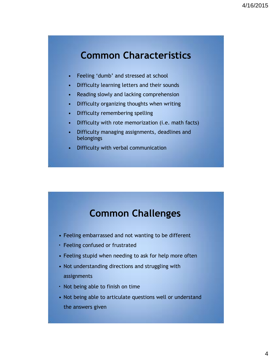### **Common Characteristics**

- Feeling 'dumb' and stressed at school
- Difficulty learning letters and their sounds
- Reading slowly and lacking comprehension
- Difficulty organizing thoughts when writing
- Difficulty remembering spelling
- Difficulty with rote memorization (i.e. math facts)
- Difficulty managing assignments, deadlines and belongings
- Difficulty with verbal communication

### **Common Challenges**

- Feeling embarrassed and not wanting to be different
- Feeling confused or frustrated
- Feeling stupid when needing to ask for help more often
- Not understanding directions and struggling with assignments
- Not being able to finish on time
- Not being able to articulate questions well or understand the answers given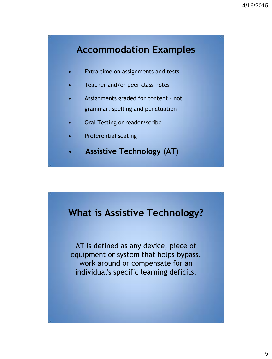# **Accommodation Examples**

- Extra time on assignments and tests
- Teacher and/or peer class notes
- Assignments graded for content not grammar, spelling and punctuation
- Oral Testing or reader/scribe
- Preferential seating
- **Assistive Technology (AT)**

#### **What is Assistive Technology?**

AT is defined as any device, piece of equipment or system that helps bypass, work around or compensate for an individual's specific learning deficits.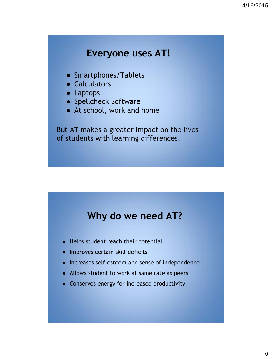#### **Everyone uses AT!**

- Smartphones/Tablets
- Calculators
- Laptops
- Spellcheck Software
- At school, work and home

But AT makes a greater impact on the lives of students with learning differences.

#### **Why do we need AT?**

- Helps student reach their potential
- Improves certain skill deficits
- Increases self-esteem and sense of independence
- Allows student to work at same rate as peers
- Conserves energy for increased productivity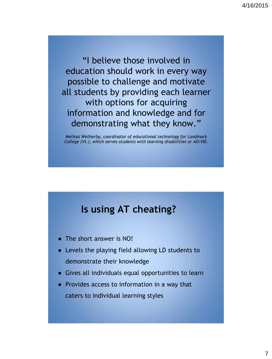"I believe those involved in education should work in every way possible to challenge and motivate all students by providing each learner with options for acquiring information and knowledge and for demonstrating what they know."

*Melissa Wetherby, coordinator of educational technology for Landmark College (Vt.), which serves students with learning disabilities or AD/HD.*

#### **Is using AT cheating?**

- The short answer is NO!
- Levels the playing field allowing LD students to demonstrate their knowledge
- Gives all individuals equal opportunities to learn
- Provides access to information in a way that caters to individual learning styles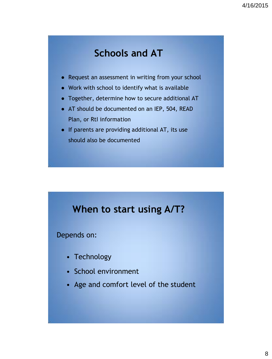### **Schools and AT**

- Request an assessment in writing from your school
- Work with school to identify what is available
- Together, determine how to secure additional AT
- AT should be documented on an IEP, 504, READ Plan, or RtI information
- If parents are providing additional AT, its use should also be documented

# **When to start using A/T?**

Depends on:

- Technology
- School environment
- Age and comfort level of the student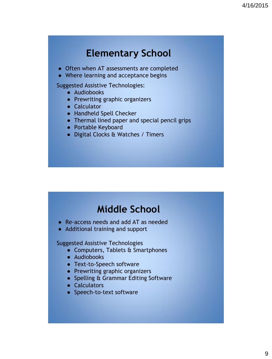### **Elementary School**

- Often when AT assessments are completed
- Where learning and acceptance begins

Suggested Assistive Technologies:

- Audiobooks
- Prewriting graphic organizers
- Calculator
- Handheld Spell Checker
- Thermal lined paper and special pencil grips
- Portable Keyboard
- Digital Clocks & Watches / Timers

# **Middle School**

- Re-access needs and add AT as needed
- Additional training and support

Suggested Assistive Technologies

- Computers, Tablets & Smartphones
- Audiobooks
- Text-to-Speech software
- Prewriting graphic organizers
- Spelling & Grammar Editing Software
- Calculators
- Speech-to-text software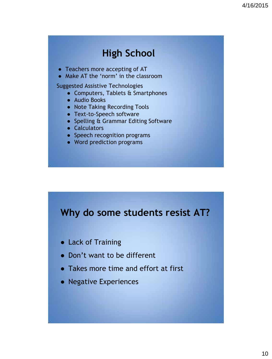# **High School**

- Teachers more accepting of AT
- Make AT the 'norm' in the classroom

Suggested Assistive Technologies

- Computers, Tablets & Smartphones
- Audio Books
- Note Taking Recording Tools
- Text-to-Speech software
- Spelling & Grammar Editing Software
- Calculators
- Speech recognition programs
- Word prediction programs

# **Why do some students resist AT?**

- Lack of Training
- Don't want to be different
- Takes more time and effort at first
- Negative Experiences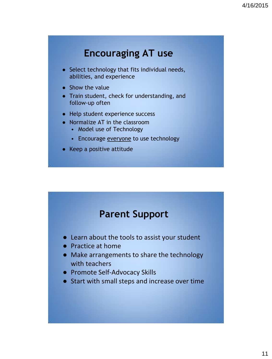# **Encouraging AT use**

- Select technology that fits individual needs, abilities, and experience
- Show the value
- Train student, check for understanding, and follow-up often
- Help student experience success
- Normalize AT in the classroom
	- Model use of Technology
	- Encourage everyone to use technology
- Keep a positive attitude

### **Parent Support**

- Learn about the tools to assist your student
- Practice at home
- Make arrangements to share the technology with teachers
- Promote Self-Advocacy Skills
- Start with small steps and increase over time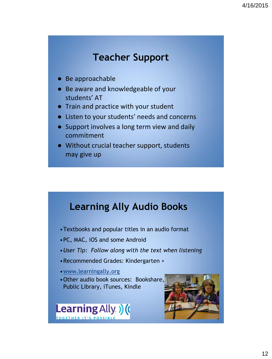# **Teacher Support**

- Be approachable
- Be aware and knowledgeable of your students' AT
- Train and practice with your student
- Listen to your students' needs and concerns
- Support involves a long term view and daily commitment
- Without crucial teacher support, students may give up

# **Learning Ally Audio Books**

- •Textbooks and popular titles in an audio format
- •PC, MAC, iOS and some Android
- •*User Tip: Follow along with the text when listening*
- •Recommended Grades: Kindergarten +
- •[www.learningally.org](http://www.learningally.org)
- •Other audio book sources: Bookshare, Public Library, iTunes, Kindle



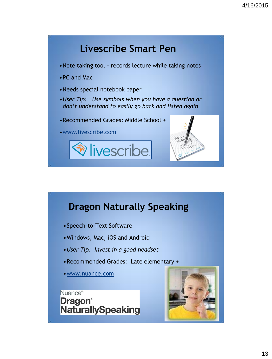

# **Dragon Naturally Speaking**

- •Speech-to-Text Software
- •Windows, Mac, iOS and Android
- •*User Tip: Invest in a good headset*
- •Recommended Grades: Late elementary +
- •[www.nuance.com](http://www.nuance.com)



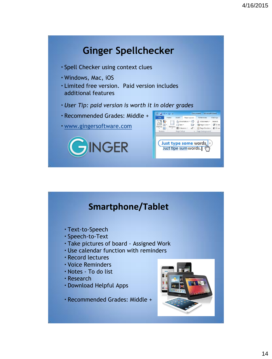